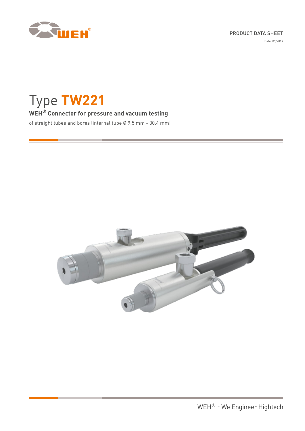

Date: 09/2019



# Type **TW221**

# **WEH® Connector for pressure and vacuum testing**

of straight tubes and bores (internal tube Ø 9.5 mm - 30.4 mm)

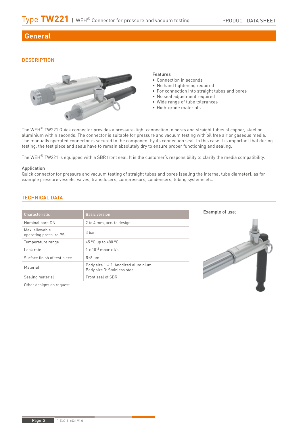# **General**

## **DESCRIPTION**



#### Features

- Connection in seconds
- No hand tightening required
- For connection into straight tubes and bores
- No seal adjustment required
- Wide range of tube tolerances
- High-grade materials

The WEH<sup>®</sup> TW221 Quick connector provides a pressure-tight connection to bores and straight tubes of copper, steel or aluminium within seconds. The connector is suitable for pressure and vacuum testing with oil free air or gaseous media. The manually operated connector is secured to the component by its connection seal. In this case it is important that during testing, the test piece and seals have to remain absolutely dry to ensure proper functioning and sealing.

The WEH<sup>®</sup> TW221 is equipped with a SBR front seal. It is the customer's responsibility to clarify the media compatibility.

#### Application

Quick connector for pressure and vacuum testing of straight tubes and bores (sealing the internal tube diameter), as for example pressure vessels, valves, transducers, compressors, condensers, tubing systems etc.

## TECHNICAL DATA

| Characteristic                         | <b>Basic version</b>                                                |
|----------------------------------------|---------------------------------------------------------------------|
| Nominal hore DN                        | 2 to 4 mm, acc. to design                                           |
| Max allowable<br>operating pressure PS | 3 <sub>har</sub>                                                    |
| Temperature range                      | $+5$ °C up to $+80$ °C                                              |
| Leak rate                              | $1 \times 10^{-3}$ mbar x $\sqrt{s}$                                |
| Surface finish of test piece           | $Rz8 \mu m$                                                         |
| Material                               | Body size 1 + 2: Anodized aluminium<br>Body size 3: Stainless steel |
| Sealing material                       | Front seal of SBR                                                   |

Other designs on request

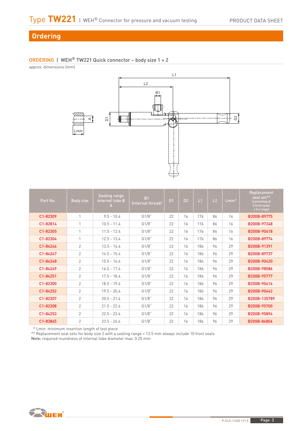# **Ordering**

# ORDERING | WEH® TW221 Quick connector – body size 1 + 2

approx. dimensions (mm)



| Part No. | Body size      | <b>Sealing range</b><br>internal tube Ø<br>A | B <sub>1</sub><br>(internal thread) | D <sub>1</sub> | D <sub>2</sub> | L1  | L2 | $Lmin*$ | Replacement<br>seal set**<br>(consisting of<br>5 front seals<br>$+5$ o-rings) |
|----------|----------------|----------------------------------------------|-------------------------------------|----------------|----------------|-----|----|---------|-------------------------------------------------------------------------------|
| C1-82309 | 1              | $9.5 - 10.4$                                 | G1/8"                               | 22             | 16             | 176 | 86 | 16      | B200B-89775                                                                   |
| C1-82814 |                | $10.5 - 11.4$                                | G1/8"                               | 22             | 16             | 176 | 86 | 16      | B200B-97248                                                                   |
| C1-82305 |                | $11.5 - 12.4$                                | G1/8"                               | 22             | 16             | 176 | 86 | 16      | B200B-90418                                                                   |
| C1-82304 |                | $12.5 - 13.4$                                | G1/8"                               | 22             | 16             | 176 | 86 | 16      | B200B-89774                                                                   |
| C1-84246 | $\overline{2}$ | $13.5 - 14.4$                                | G1/8"                               | 22             | 16             | 186 | 96 | 29      | B200B-91391                                                                   |
| C1-84247 | $\overline{2}$ | $14.5 - 15.4$                                | G1/8"                               | 22             | 16             | 186 | 96 | 29      | B200B-89737                                                                   |
| C1-84248 | $\overline{2}$ | $15.5 - 16.4$                                | G1/8"                               | 22             | 16             | 186 | 96 | 29      | B200B-90420                                                                   |
| C1-84249 | $\overline{2}$ | $16.5 - 17.4$                                | G1/8"                               | 22             | 16             | 186 | 96 | 29      | B200B-98586                                                                   |
| C1-84251 | $\overline{2}$ | $17.5 - 18.4$                                | G1/8"                               | 22             | 16             | 186 | 96 | 29      | B200B-95777                                                                   |
| C1-82300 | $\overline{2}$ | $18.5 - 19.4$                                | G1/8"                               | 22             | 16             | 186 | 96 | 29      | B200B-90416                                                                   |
| C1-84252 | $\overline{2}$ | $19.5 - 20.4$                                | G1/8"                               | 22             | 16             | 186 | 96 | 29      | B200B-90442                                                                   |
| C1-82307 | $\overline{2}$ | $20.5 - 21.4$                                | G1/8"                               | 22             | 16             | 186 | 96 | 29      | B200B-135789                                                                  |
| C1-82308 | $\overline{2}$ | $21.5 - 22.4$                                | G1/8"                               | 22             | 16             | 186 | 96 | 29      | B200B-95700                                                                   |
| C1-84253 | 2              | $22.5 - 23.4$                                | G1/8"                               | 22             | 16             | 186 | 96 | 29      | B200B-95894                                                                   |
| C1-83865 | $\overline{2}$ | $23.5 - 24.4$                                | G1/8"                               | 22             | 16             | 186 | 96 | 29      | B200B-84806                                                                   |

\* Lmin: minimum insertion length of test piece

\*\* Replacement seal sets for body size 2 with a sealing range > 13.5 mm always include 10 front seals

Note: required roundness of internal tube diameter max. 0.25 mm

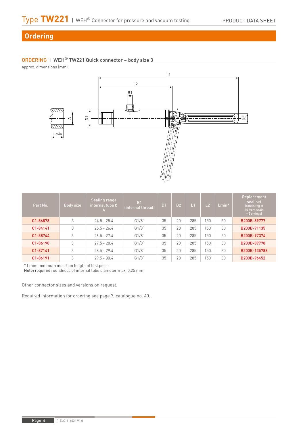# **Ordering**

# ORDERING | WEH® TW221 Quick connector – body size 3

approx. dimensions (mm)



| Part No. | Body size | <b>Sealing range</b><br>internal tube Ø<br>А | B <sub>1</sub><br>(internal thread) | D <sub>1</sub> | D <sub>2</sub> | L1  | L2  | $Lmin*$ | Replacement<br>seal set<br>(consisting of<br>10 front seals<br>$+5$ o-rings) |
|----------|-----------|----------------------------------------------|-------------------------------------|----------------|----------------|-----|-----|---------|------------------------------------------------------------------------------|
| C1-86878 | 3         | $24.5 - 25.4$                                | G1/8"                               | 35             | 20             | 285 | 150 | 30      | B200B-89777                                                                  |
| C1-84141 | 3         | $25.5 - 26.4$                                | G1/8"                               | 35             | 20             | 285 | 150 | 30      | B200B-91135                                                                  |
| C1-88744 | 3         | $265 - 274$                                  | G1/8"                               | 35             | 20             | 285 | 150 | 30      | B200B-97374                                                                  |
| C1-86190 | 3         | $275 - 284$                                  | G1/8"                               | 35             | 20             | 285 | 150 | 30      | B200B-89778                                                                  |
| C1-87141 | 3         | $28.5 - 29.4$                                | G1/8"                               | 35             | 20             | 285 | 150 | 30      | B200B-135788                                                                 |
| C1-86191 | 3         | $29.5 - 30.4$                                | G1/8"                               | 35             | 20             | 285 | 150 | 30      | B200B-96452                                                                  |

\* Lmin: minimum insertion length of test piece

Note: required roundness of internal tube diameter max. 0.25 mm

Other connector sizes and versions on request.

Required information for ordering see page 7, catalogue no. 40.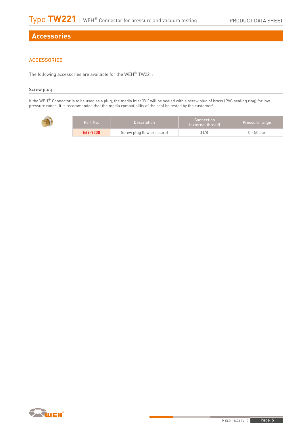# **Accessories**

# **ACCESSORIES**

The following accessories are available for the WEH® TW221:

### Screw plug

If the WEH® Connector is to be used as a plug, the media inlet 'B1' will be sealed with a screw plug of brass (PVC sealing ring) for low pressure range. It is recommended that the media compatibility of the seal be tested by the customer!